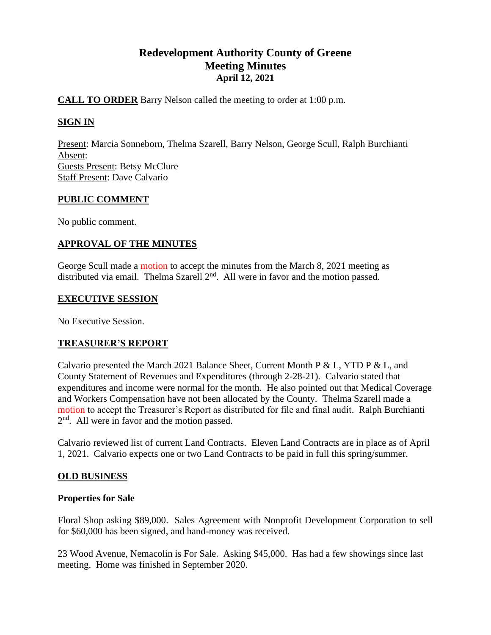# **Redevelopment Authority County of Greene Meeting Minutes April 12, 2021**

# **CALL TO ORDER** Barry Nelson called the meeting to order at 1:00 p.m.

# **SIGN IN**

Present: Marcia Sonneborn, Thelma Szarell, Barry Nelson, George Scull, Ralph Burchianti Absent: Guests Present: Betsy McClure Staff Present: Dave Calvario

### **PUBLIC COMMENT**

No public comment.

### **APPROVAL OF THE MINUTES**

George Scull made a motion to accept the minutes from the March 8, 2021 meeting as distributed via email. Thelma Szarell  $2<sup>nd</sup>$ . All were in favor and the motion passed.

### **EXECUTIVE SESSION**

No Executive Session.

### **TREASURER'S REPORT**

Calvario presented the March 2021 Balance Sheet, Current Month P & L, YTD P & L, and County Statement of Revenues and Expenditures (through 2-28-21). Calvario stated that expenditures and income were normal for the month. He also pointed out that Medical Coverage and Workers Compensation have not been allocated by the County. Thelma Szarell made a motion to accept the Treasurer's Report as distributed for file and final audit. Ralph Burchianti 2<sup>nd</sup>. All were in favor and the motion passed.

Calvario reviewed list of current Land Contracts. Eleven Land Contracts are in place as of April 1, 2021. Calvario expects one or two Land Contracts to be paid in full this spring/summer.

### **OLD BUSINESS**

### **Properties for Sale**

Floral Shop asking \$89,000. Sales Agreement with Nonprofit Development Corporation to sell for \$60,000 has been signed, and hand-money was received.

23 Wood Avenue, Nemacolin is For Sale. Asking \$45,000. Has had a few showings since last meeting. Home was finished in September 2020.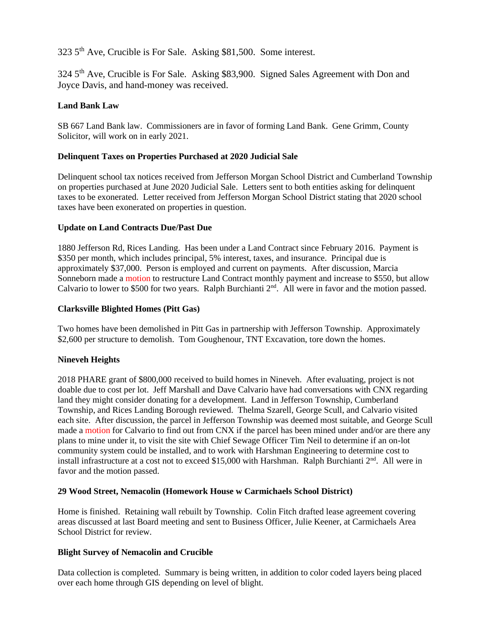323 5th Ave, Crucible is For Sale. Asking \$81,500. Some interest.

324 5<sup>th</sup> Ave, Crucible is For Sale. Asking \$83,900. Signed Sales Agreement with Don and Joyce Davis, and hand-money was received.

### **Land Bank Law**

SB 667 Land Bank law. Commissioners are in favor of forming Land Bank. Gene Grimm, County Solicitor, will work on in early 2021.

### **Delinquent Taxes on Properties Purchased at 2020 Judicial Sale**

Delinquent school tax notices received from Jefferson Morgan School District and Cumberland Township on properties purchased at June 2020 Judicial Sale. Letters sent to both entities asking for delinquent taxes to be exonerated. Letter received from Jefferson Morgan School District stating that 2020 school taxes have been exonerated on properties in question.

#### **Update on Land Contracts Due/Past Due**

1880 Jefferson Rd, Rices Landing. Has been under a Land Contract since February 2016. Payment is \$350 per month, which includes principal, 5% interest, taxes, and insurance. Principal due is approximately \$37,000. Person is employed and current on payments. After discussion, Marcia Sonneborn made a motion to restructure Land Contract monthly payment and increase to \$550, but allow Calvario to lower to \$500 for two years. Ralph Burchianti 2<sup>nd</sup>. All were in favor and the motion passed.

### **Clarksville Blighted Homes (Pitt Gas)**

Two homes have been demolished in Pitt Gas in partnership with Jefferson Township. Approximately \$2,600 per structure to demolish. Tom Goughenour, TNT Excavation, tore down the homes.

### **Nineveh Heights**

2018 PHARE grant of \$800,000 received to build homes in Nineveh. After evaluating, project is not doable due to cost per lot. Jeff Marshall and Dave Calvario have had conversations with CNX regarding land they might consider donating for a development. Land in Jefferson Township, Cumberland Township, and Rices Landing Borough reviewed. Thelma Szarell, George Scull, and Calvario visited each site. After discussion, the parcel in Jefferson Township was deemed most suitable, and George Scull made a motion for Calvario to find out from CNX if the parcel has been mined under and/or are there any plans to mine under it, to visit the site with Chief Sewage Officer Tim Neil to determine if an on-lot community system could be installed, and to work with Harshman Engineering to determine cost to install infrastructure at a cost not to exceed \$15,000 with Harshman. Ralph Burchianti 2<sup>nd</sup>. All were in favor and the motion passed.

#### **29 Wood Street, Nemacolin (Homework House w Carmichaels School District)**

Home is finished. Retaining wall rebuilt by Township. Colin Fitch drafted lease agreement covering areas discussed at last Board meeting and sent to Business Officer, Julie Keener, at Carmichaels Area School District for review.

#### **Blight Survey of Nemacolin and Crucible**

Data collection is completed. Summary is being written, in addition to color coded layers being placed over each home through GIS depending on level of blight.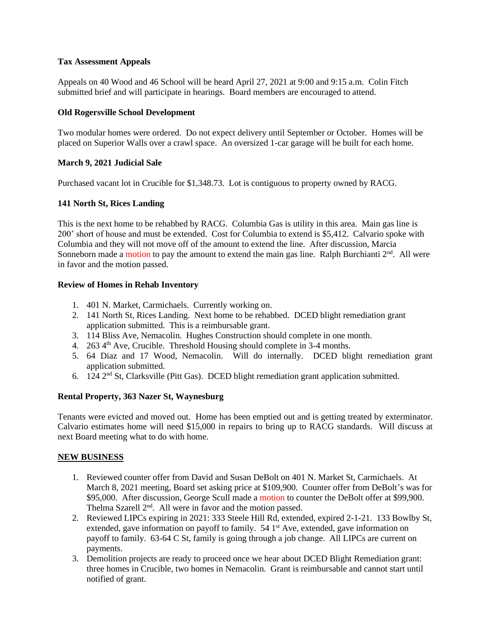#### **Tax Assessment Appeals**

Appeals on 40 Wood and 46 School will be heard April 27, 2021 at 9:00 and 9:15 a.m. Colin Fitch submitted brief and will participate in hearings. Board members are encouraged to attend.

### **Old Rogersville School Development**

Two modular homes were ordered. Do not expect delivery until September or October. Homes will be placed on Superior Walls over a crawl space. An oversized 1-car garage will be built for each home.

### **March 9, 2021 Judicial Sale**

Purchased vacant lot in Crucible for \$1,348.73. Lot is contiguous to property owned by RACG.

### **141 North St, Rices Landing**

This is the next home to be rehabbed by RACG. Columbia Gas is utility in this area. Main gas line is 200' short of house and must be extended. Cost for Columbia to extend is \$5,412. Calvario spoke with Columbia and they will not move off of the amount to extend the line. After discussion, Marcia Sonneborn made a motion to pay the amount to extend the main gas line. Ralph Burchianti  $2<sup>nd</sup>$ . All were in favor and the motion passed.

### **Review of Homes in Rehab Inventory**

- 1. 401 N. Market, Carmichaels. Currently working on.
- 2. 141 North St, Rices Landing. Next home to be rehabbed. DCED blight remediation grant application submitted. This is a reimbursable grant.
- 3. 114 Bliss Ave, Nemacolin. Hughes Construction should complete in one month.
- 4.  $263\,4^{\text{th}}$  Ave, Crucible. Threshold Housing should complete in 3-4 months.
- 5. 64 Diaz and 17 Wood, Nemacolin. Will do internally. DCED blight remediation grant application submitted.
- 6.  $124 \text{ } 2^{\text{nd}}$  St, Clarksville (Pitt Gas). DCED blight remediation grant application submitted.

### **Rental Property, 363 Nazer St, Waynesburg**

Tenants were evicted and moved out. Home has been emptied out and is getting treated by exterminator. Calvario estimates home will need \$15,000 in repairs to bring up to RACG standards. Will discuss at next Board meeting what to do with home.

#### **NEW BUSINESS**

- 1. Reviewed counter offer from David and Susan DeBolt on 401 N. Market St, Carmichaels. At March 8, 2021 meeting, Board set asking price at \$109,900. Counter offer from DeBolt's was for \$95,000. After discussion, George Scull made a motion to counter the DeBolt offer at \$99,900. Thelma Szarell  $2<sup>nd</sup>$ . All were in favor and the motion passed.
- 2. Reviewed LIPCs expiring in 2021: 333 Steele Hill Rd, extended, expired 2-1-21. 133 Bowlby St, extended, gave information on payoff to family. 54 1<sup>st</sup> Ave, extended, gave information on payoff to family. 63-64 C St, family is going through a job change. All LIPCs are current on payments.
- 3. Demolition projects are ready to proceed once we hear about DCED Blight Remediation grant: three homes in Crucible, two homes in Nemacolin. Grant is reimbursable and cannot start until notified of grant.